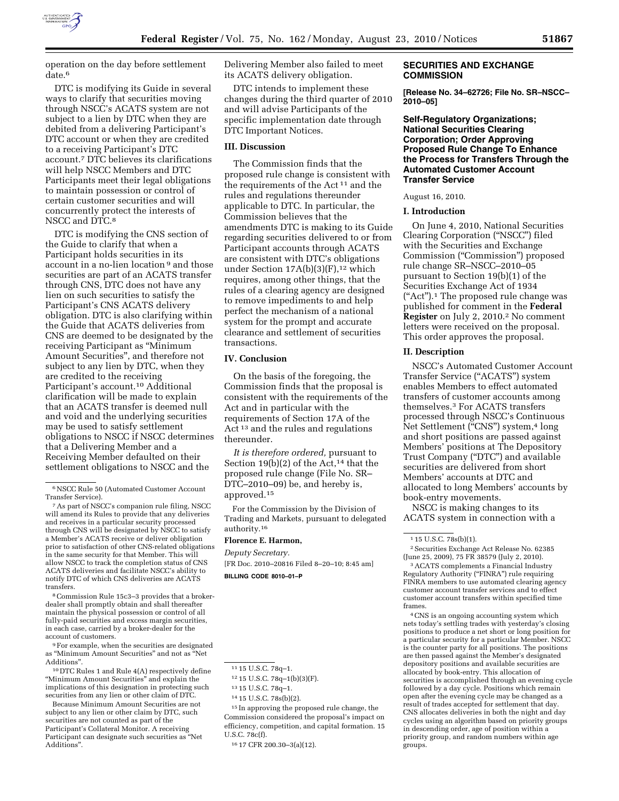

operation on the day before settlement date.<sup>6</sup>

DTC is modifying its Guide in several ways to clarify that securities moving through NSCC's ACATS system are not subject to a lien by DTC when they are debited from a delivering Participant's DTC account or when they are credited to a receiving Participant's DTC account.7 DTC believes its clarifications will help NSCC Members and DTC Participants meet their legal obligations to maintain possession or control of certain customer securities and will concurrently protect the interests of NSCC and DTC.8

DTC is modifying the CNS section of the Guide to clarify that when a Participant holds securities in its account in a no-lien location 9 and those securities are part of an ACATS transfer through CNS, DTC does not have any lien on such securities to satisfy the Participant's CNS ACATS delivery obligation. DTC is also clarifying within the Guide that ACATS deliveries from CNS are deemed to be designated by the receiving Participant as ''Minimum Amount Securities'', and therefore not subject to any lien by DTC, when they are credited to the receiving Participant's account.<sup>10</sup> Additional clarification will be made to explain that an ACATS transfer is deemed null and void and the underlying securities may be used to satisfy settlement obligations to NSCC if NSCC determines that a Delivering Member and a Receiving Member defaulted on their settlement obligations to NSCC and the

8Commission Rule 15c3–3 provides that a brokerdealer shall promptly obtain and shall thereafter maintain the physical possession or control of all fully-paid securities and excess margin securities, in each case, carried by a broker-dealer for the account of customers.

9For example, when the securities are designated as ''Minimum Amount Securities'' and not as ''Net Additions''.

10 DTC Rules 1 and Rule 4(A) respectively define ''Minimum Amount Securities'' and explain the implications of this designation in protecting such securities from any lien or other claim of DTC.

Because Minimum Amount Securities are not subject to any lien or other claim by DTC, such securities are not counted as part of the Participant's Collateral Monitor. A receiving Participant can designate such securities as ''Net Additions''.

Delivering Member also failed to meet its ACATS delivery obligation.

DTC intends to implement these changes during the third quarter of 2010 and will advise Participants of the specific implementation date through DTC Important Notices.

### **III. Discussion**

The Commission finds that the proposed rule change is consistent with the requirements of the Act 11 and the rules and regulations thereunder applicable to DTC. In particular, the Commission believes that the amendments DTC is making to its Guide regarding securities delivered to or from Participant accounts through ACATS are consistent with DTC's obligations under Section  $17A(b)(3)(F)$ ,<sup>12</sup> which requires, among other things, that the rules of a clearing agency are designed to remove impediments to and help perfect the mechanism of a national system for the prompt and accurate clearance and settlement of securities transactions.

## **IV. Conclusion**

On the basis of the foregoing, the Commission finds that the proposal is consistent with the requirements of the Act and in particular with the requirements of Section 17A of the Act 13 and the rules and regulations thereunder.

*It is therefore ordered,* pursuant to Section 19(b) $(2)$  of the Act,<sup>14</sup> that the proposed rule change (File No. SR– DTC–2010–09) be, and hereby is, approved.15

For the Commission by the Division of Trading and Markets, pursuant to delegated authority.16

#### **Florence E. Harmon,**

*Deputy Secretary.* 

[FR Doc. 2010–20816 Filed 8–20–10; 8:45 am] **BILLING CODE 8010–01–P** 

15 In approving the proposed rule change, the Commission considered the proposal's impact on efficiency, competition, and capital formation. 15 U.S.C. 78c(f).

## **SECURITIES AND EXCHANGE COMMISSION**

**[Release No. 34–62726; File No. SR–NSCC– 2010–05]** 

**Self-Regulatory Organizations; National Securities Clearing Corporation; Order Approving Proposed Rule Change To Enhance the Process for Transfers Through the Automated Customer Account Transfer Service** 

August 16, 2010.

## **I. Introduction**

On June 4, 2010, National Securities Clearing Corporation (''NSCC'') filed with the Securities and Exchange Commission (''Commission'') proposed rule change SR–NSCC–2010–05 pursuant to Section 19(b)(1) of the Securities Exchange Act of 1934 (''Act'').1 The proposed rule change was published for comment in the **Federal Register** on July 2, 2010.<sup>2</sup> No comment letters were received on the proposal. This order approves the proposal.

### **II. Description**

NSCC's Automated Customer Account Transfer Service (''ACATS'') system enables Members to effect automated transfers of customer accounts among themselves.3 For ACATS transfers processed through NSCC's Continuous Net Settlement ("CNS") system,<sup>4</sup> long and short positions are passed against Members' positions at The Depository Trust Company (''DTC'') and available securities are delivered from short Members' accounts at DTC and allocated to long Members' accounts by book-entry movements.

NSCC is making changes to its ACATS system in connection with a

1 15 U.S.C. 78s(b)(1).

2Securities Exchange Act Release No. 62385 (June 25, 2009), 75 FR 38579 (July 2, 2010).

3ACATS complements a Financial Industry Regulatory Authority ("FINRA") rule requiring FINRA members to use automated clearing agency customer account transfer services and to effect customer account transfers within specified time frames.

4CNS is an ongoing accounting system which nets today's settling trades with yesterday's closing positions to produce a net short or long position for a particular security for a particular Member. NSCC is the counter party for all positions. The positions are then passed against the Member's designated depository positions and available securities are allocated by book-entry. This allocation of securities is accomplished through an evening cycle followed by a day cycle. Positions which remain open after the evening cycle may be changed as a result of trades accepted for settlement that day. CNS allocates deliveries in both the night and day cycles using an algorithm based on priority groups in descending order, age of position within a priority group, and random numbers within age groups.

<sup>6</sup>NSCC Rule 50 (Automated Customer Account Transfer Service).

<sup>7</sup>As part of NSCC's companion rule filing, NSCC will amend its Rules to provide that any deliveries and receives in a particular security processed through CNS will be designated by NSCC to satisfy a Member's ACATS receive or deliver obligation prior to satisfaction of other CNS-related obligations in the same security for that Member. This will allow NSCC to track the completion status of CNS ACATS deliveries and facilitate NSCC's ability to notify DTC of which CNS deliveries are ACATS transfers.

<sup>11</sup> 15 U.S.C. 78q–1.

<sup>12</sup> 15 U.S.C. 78q–1(b)(3)(F).

<sup>13</sup> 15 U.S.C. 78q–1.

<sup>14</sup> 15 U.S.C. 78s(b)(2).

<sup>16</sup> 17 CFR 200.30–3(a)(12).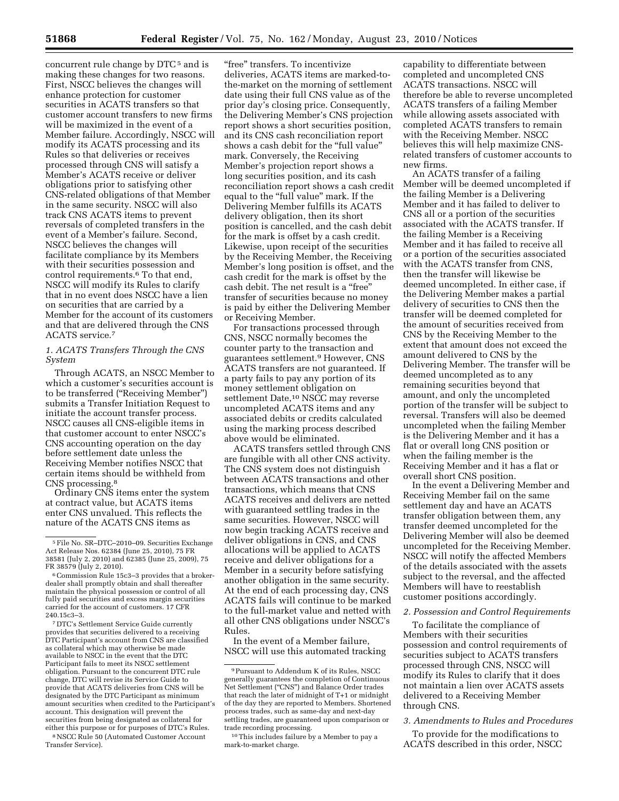concurrent rule change by DTC<sup>5</sup> and is making these changes for two reasons. First, NSCC believes the changes will enhance protection for customer securities in ACATS transfers so that customer account transfers to new firms will be maximized in the event of a Member failure. Accordingly, NSCC will modify its ACATS processing and its Rules so that deliveries or receives processed through CNS will satisfy a Member's ACATS receive or deliver obligations prior to satisfying other CNS-related obligations of that Member in the same security. NSCC will also track CNS ACATS items to prevent reversals of completed transfers in the event of a Member's failure. Second, NSCC believes the changes will facilitate compliance by its Members with their securities possession and control requirements.6 To that end, NSCC will modify its Rules to clarify that in no event does NSCC have a lien on securities that are carried by a Member for the account of its customers and that are delivered through the CNS ACATS service.7

## *1. ACATS Transfers Through the CNS System*

Through ACATS, an NSCC Member to which a customer's securities account is to be transferred (''Receiving Member'') submits a Transfer Initiation Request to initiate the account transfer process. NSCC causes all CNS-eligible items in that customer account to enter NSCC's CNS accounting operation on the day before settlement date unless the Receiving Member notifies NSCC that certain items should be withheld from CNS processing.8

Ordinary CNS items enter the system at contract value, but ACATS items enter CNS unvalued. This reflects the nature of the ACATS CNS items as

7 DTC's Settlement Service Guide currently provides that securities delivered to a receiving DTC Participant's account from CNS are classified as collateral which may otherwise be made available to NSCC in the event that the DTC Participant fails to meet its NSCC settlement obligation. Pursuant to the concurrent DTC rule change, DTC will revise its Service Guide to provide that ACATS deliveries from CNS will be designated by the DTC Participant as minimum amount securities when credited to the Participant's account. This designation will prevent the securities from being designated as collateral for either this purpose or for purposes of DTC's Rules. 8NSCC Rule 50 (Automated Customer Account

Transfer Service).

"free" transfers. To incentivize deliveries, ACATS items are marked-tothe-market on the morning of settlement date using their full CNS value as of the prior day's closing price. Consequently, the Delivering Member's CNS projection report shows a short securities position, and its CNS cash reconciliation report shows a cash debit for the "full value" mark. Conversely, the Receiving Member's projection report shows a long securities position, and its cash reconciliation report shows a cash credit equal to the "full value" mark. If the Delivering Member fulfills its ACATS delivery obligation, then its short position is cancelled, and the cash debit for the mark is offset by a cash credit. Likewise, upon receipt of the securities by the Receiving Member, the Receiving Member's long position is offset, and the cash credit for the mark is offset by the cash debit. The net result is a ''free'' transfer of securities because no money is paid by either the Delivering Member or Receiving Member.

For transactions processed through CNS, NSCC normally becomes the counter party to the transaction and guarantees settlement.9 However, CNS ACATS transfers are not guaranteed. If a party fails to pay any portion of its money settlement obligation on settlement Date,<sup>10</sup> NSCC may reverse uncompleted ACATS items and any associated debits or credits calculated using the marking process described above would be eliminated.

ACATS transfers settled through CNS are fungible with all other CNS activity. The CNS system does not distinguish between ACATS transactions and other transactions, which means that CNS ACATS receives and delivers are netted with guaranteed settling trades in the same securities. However, NSCC will now begin tracking ACATS receive and deliver obligations in CNS, and CNS allocations will be applied to ACATS receive and deliver obligations for a Member in a security before satisfying another obligation in the same security. At the end of each processing day, CNS ACATS fails will continue to be marked to the full-market value and netted with all other CNS obligations under NSCC's Rules.

In the event of a Member failure, NSCC will use this automated tracking capability to differentiate between completed and uncompleted CNS ACATS transactions. NSCC will therefore be able to reverse uncompleted ACATS transfers of a failing Member while allowing assets associated with completed ACATS transfers to remain with the Receiving Member. NSCC believes this will help maximize CNSrelated transfers of customer accounts to new firms.

An ACATS transfer of a failing Member will be deemed uncompleted if the failing Member is a Delivering Member and it has failed to deliver to CNS all or a portion of the securities associated with the ACATS transfer. If the failing Member is a Receiving Member and it has failed to receive all or a portion of the securities associated with the ACATS transfer from CNS, then the transfer will likewise be deemed uncompleted. In either case, if the Delivering Member makes a partial delivery of securities to CNS then the transfer will be deemed completed for the amount of securities received from CNS by the Receiving Member to the extent that amount does not exceed the amount delivered to CNS by the Delivering Member. The transfer will be deemed uncompleted as to any remaining securities beyond that amount, and only the uncompleted portion of the transfer will be subject to reversal. Transfers will also be deemed uncompleted when the failing Member is the Delivering Member and it has a flat or overall long CNS position or when the failing member is the Receiving Member and it has a flat or overall short CNS position.

In the event a Delivering Member and Receiving Member fail on the same settlement day and have an ACATS transfer obligation between them, any transfer deemed uncompleted for the Delivering Member will also be deemed uncompleted for the Receiving Member. NSCC will notify the affected Members of the details associated with the assets subject to the reversal, and the affected Members will have to reestablish customer positions accordingly.

#### *2. Possession and Control Requirements*

To facilitate the compliance of Members with their securities possession and control requirements of securities subject to ACATS transfers processed through CNS, NSCC will modify its Rules to clarify that it does not maintain a lien over ACATS assets delivered to a Receiving Member through CNS.

#### *3. Amendments to Rules and Procedures*

To provide for the modifications to ACATS described in this order, NSCC

<sup>5</sup>File No. SR–DTC–2010–09. Securities Exchange Act Release Nos. 62384 (June 25, 2010), 75 FR 38581 (July 2, 2010) and 62385 (June 25, 2009), 75

<sup>&</sup>lt;sup>6</sup> Commission Rule 15c3–3 provides that a brokerdealer shall promptly obtain and shall thereafter maintain the physical possession or control of all fully paid securities and excess margin securities carried for the account of customers. 17 CFR 240.15c3–3.

<sup>9</sup>Pursuant to Addendum K of its Rules, NSCC generally guarantees the completion of Continuous Net Settlement (''CNS'') and Balance Order trades that reach the later of midnight of T+1 or midnight of the day they are reported to Members. Shortened process trades, such as same-day and next-day settling trades, are guaranteed upon comparison or trade recording processing.

<sup>10</sup>This includes failure by a Member to pay a mark-to-market charge.